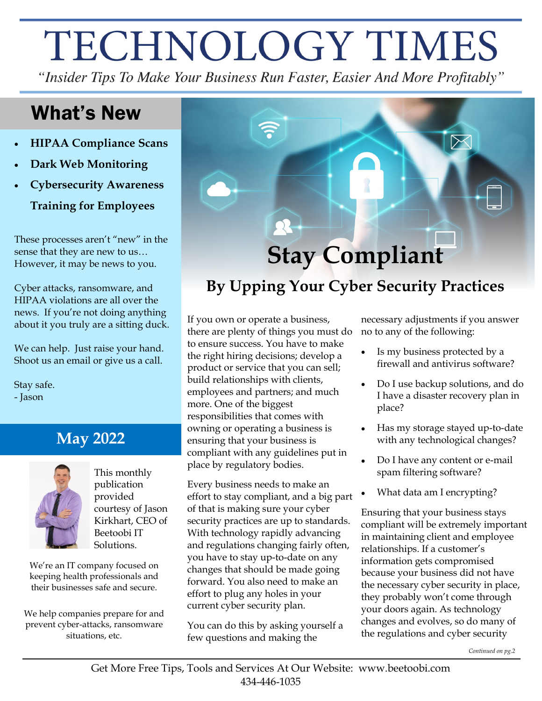# TECHNOLOGY TIMES

"Insider Tips To Make Your Business Run Faster, Easier And More Profitably"

### What's New

- **HIPAA Compliance Scans**
- **Dark Web Monitoring**
- **Cybersecurity Awareness Training for Employees**

These processes aren't "new" in the sense that they are new to us… However, it may be news to you.

Cyber attacks, ransomware, and HIPAA violations are all over the news. If you're not doing anything about it you truly are a sitting duck.

We can help. Just raise your hand. Shoot us an email or give us a call.

Stay safe. - Jason

### **May 2022**



This monthly publication provided courtesy of Jason Kirkhart, CEO of Beetoobi IT Solutions.

We're an IT company focused on keeping health professionals and their businesses safe and secure.

We help companies prepare for and prevent cyber-attacks, ransomware situations, etc.



## **By Upping Your Cyber Security Practices**

If you own or operate a business, there are plenty of things you must do to ensure success. You have to make the right hiring decisions; develop a product or service that you can sell; build relationships with clients, employees and partners; and much more. One of the biggest responsibilities that comes with owning or operating a business is ensuring that your business is compliant with any guidelines put in place by regulatory bodies.

Every business needs to make an effort to stay compliant, and a big part of that is making sure your cyber security practices are up to standards. With technology rapidly advancing and regulations changing fairly often, you have to stay up-to-date on any changes that should be made going forward. You also need to make an effort to plug any holes in your current cyber security plan.

You can do this by asking yourself a few questions and making the

necessary adjustments if you answer no to any of the following:

- Is my business protected by a firewall and antivirus software?
- Do I use backup solutions, and do I have a disaster recovery plan in place?
- Has my storage stayed up-to-date with any technological changes?
- Do I have any content or e-mail spam filtering software?
- What data am I encrypting?

Ensuring that your business stays compliant will be extremely important in maintaining client and employee relationships. If a customer's information gets compromised because your business did not have the necessary cyber security in place, they probably won't come through your doors again. As technology changes and evolves, so do many of the regulations and cyber security

*Continued on pg.2*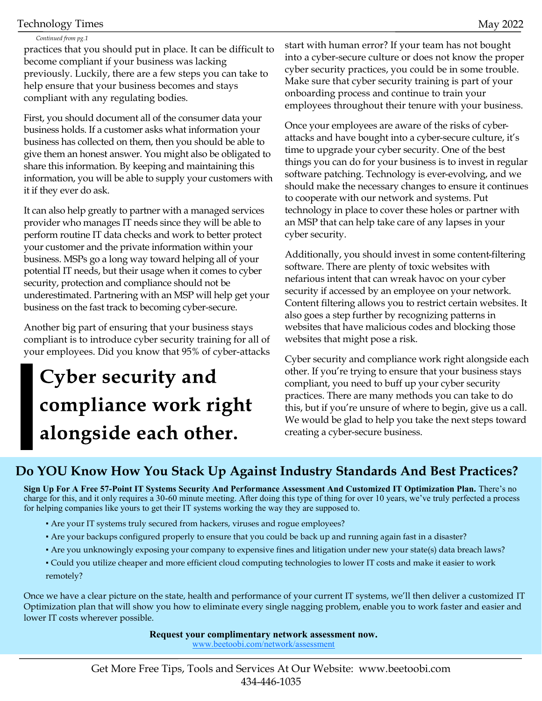#### Technology Times May 2022

#### *Continued from pg.1*

practices that you should put in place. It can be difficult to become compliant if your business was lacking previously. Luckily, there are a few steps you can take to help ensure that your business becomes and stays compliant with any regulating bodies.

First, you should document all of the consumer data your business holds. If a customer asks what information your business has collected on them, then you should be able to give them an honest answer. You might also be obligated to share this information. By keeping and maintaining this information, you will be able to supply your customers with it if they ever do ask.

It can also help greatly to partner with a managed services provider who manages IT needs since they will be able to perform routine IT data checks and work to better protect your customer and the private information within your business. MSPs go a long way toward helping all of your potential IT needs, but their usage when it comes to cyber security, protection and compliance should not be underestimated. Partnering with an MSP will help get your business on the fast track to becoming cyber-secure.

Another big part of ensuring that your business stays compliant is to introduce cyber security training for all of your employees. Did you know that 95% of cyber-attacks

# **Cyber security and** compliance work right alongside each other.

start with human error? If your team has not bought into a cyber-secure culture or does not know the proper cyber security practices, you could be in some trouble. Make sure that cyber security training is part of your onboarding process and continue to train your employees throughout their tenure with your business.

Once your employees are aware of the risks of cyberattacks and have bought into a cyber-secure culture, it's time to upgrade your cyber security. One of the best things you can do for your business is to invest in regular software patching. Technology is ever-evolving, and we should make the necessary changes to ensure it continues to cooperate with our network and systems. Put technology in place to cover these holes or partner with an MSP that can help take care of any lapses in your cyber security.

Additionally, you should invest in some content-filtering software. There are plenty of toxic websites with nefarious intent that can wreak havoc on your cyber security if accessed by an employee on your network. Content filtering allows you to restrict certain websites. It also goes a step further by recognizing patterns in websites that have malicious codes and blocking those websites that might pose a risk.

Cyber security and compliance work right alongside each other. If you're trying to ensure that your business stays compliant, you need to buff up your cyber security practices. There are many methods you can take to do this, but if you're unsure of where to begin, give us a call. We would be glad to help you take the next steps toward creating a cyber-secure business.

### **Do YOU Know How You Stack Up Against Industry Standards And Best Practices?**

**Sign Up For A Free 57-Point IT Systems Security And Performance Assessment And Customized IT Optimization Plan.** There's no charge for this, and it only requires a 30-60 minute meeting. After doing this type of thing for over 10 years, we've truly perfected a process for helping companies like yours to get their IT systems working the way they are supposed to.

- Are your IT systems truly secured from hackers, viruses and rogue employees?
- Are your backups configured properly to ensure that you could be back up and running again fast in a disaster?
- Are you unknowingly exposing your company to expensive fines and litigation under new your state(s) data breach laws?
- Could you utilize cheaper and more efficient cloud computing technologies to lower IT costs and make it easier to work remotely?

Once we have a clear picture on the state, health and performance of your current IT systems, we'll then deliver a customized IT Optimization plan that will show you how to eliminate every single nagging problem, enable you to work faster and easier and lower IT costs wherever possible.

**Request your complimentary network assessment now.**

www.beetoobi.com/network/assessment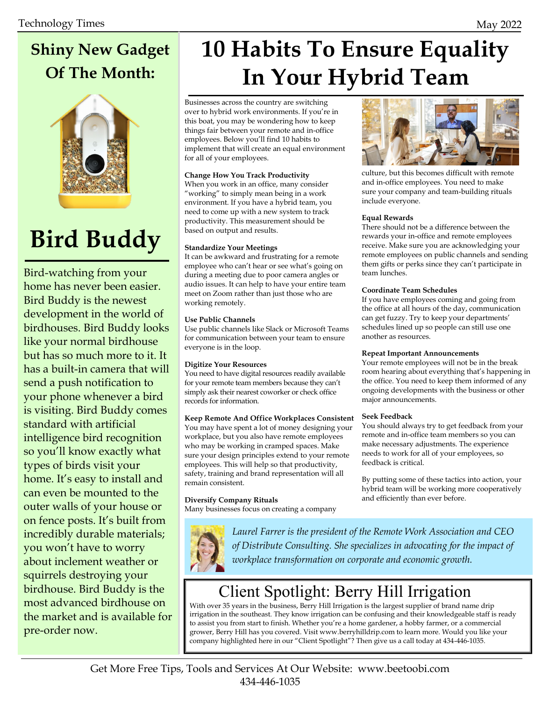# **Shiny New Gadget Of The Month:**



# **Bird Buddy**

Bird-watching from your home has never been easier. Bird Buddy is the newest development in the world of birdhouses. Bird Buddy looks like your normal birdhouse but has so much more to it. It has a built-in camera that will send a push notification to your phone whenever a bird is visiting. Bird Buddy comes standard with artificial intelligence bird recognition so you'll know exactly what types of birds visit your home. It's easy to install and can even be mounted to the outer walls of your house or on fence posts. It's built from incredibly durable materials; you won't have to worry about inclement weather or squirrels destroying your birdhouse. Bird Buddy is the most advanced birdhouse on the market and is available for pre-order now.

# **10 Habits To Ensure Equality In Your Hybrid Team**

Businesses across the country are switching over to hybrid work environments. If you're in this boat, you may be wondering how to keep things fair between your remote and in-office employees. Below you'll find 10 habits to implement that will create an equal environment for all of your employees.

#### **Change How You Track Productivity**

When you work in an office, many consider "working" to simply mean being in a work environment. If you have a hybrid team, you need to come up with a new system to track productivity. This measurement should be based on output and results.

#### **Standardize Your Meetings**

It can be awkward and frustrating for a remote employee who can't hear or see what's going on during a meeting due to poor camera angles or audio issues. It can help to have your entire team meet on Zoom rather than just those who are working remotely.

#### **Use Public Channels**

Use public channels like Slack or Microsoft Teams for communication between your team to ensure everyone is in the loop.

#### **Digitize Your Resources**

You need to have digital resources readily available for your remote team members because they can't simply ask their nearest coworker or check office records for information.

#### **Keep Remote And Office Workplaces Consistent**

You may have spent a lot of money designing your workplace, but you also have remote employees who may be working in cramped spaces. Make sure your design principles extend to your remote employees. This will help so that productivity, safety, training and brand representation will all remain consistent.

#### **Diversify Company Rituals**

Many businesses focus on creating a company



*Laurel Farrer is the president of the Remote Work Association and CEO of Distribute Consulting. She specializes in advocating for the impact of workplace transformation on corporate and economic growth.*

### Client Spotlight: Berry Hill Irrigation

With over 35 years in the business, Berry Hill Irrigation is the largest supplier of brand name drip irrigation in the southeast. They know irrigation can be confusing and their knowledgeable staff is ready to assist you from start to finish. Whether you're a home gardener, a hobby farmer, or a commercial grower, Berry Hill has you covered. Visit www.berryhilldrip.com to learn more. Would you like your company highlighted here in our "Client Spotlight"? Then give us a call today at 434-446-1035.



culture, but this becomes difficult with remote and in-office employees. You need to make sure your company and team-building rituals include everyone.

#### **Equal Rewards**

There should not be a difference between the rewards your in-office and remote employees receive. Make sure you are acknowledging your remote employees on public channels and sending them gifts or perks since they can't participate in team lunches.

#### **Coordinate Team Schedules**

If you have employees coming and going from the office at all hours of the day, communication can get fuzzy. Try to keep your departments' schedules lined up so people can still use one another as resources.

#### **Repeat Important Announcements**

Your remote employees will not be in the break room hearing about everything that's happening in the office. You need to keep them informed of any ongoing developments with the business or other major announcements.

#### **Seek Feedback**

You should always try to get feedback from your remote and in-office team members so you can make necessary adjustments. The experience needs to work for all of your employees, so feedback is critical.

By putting some of these tactics into action, your hybrid team will be working more cooperatively and efficiently than ever before.